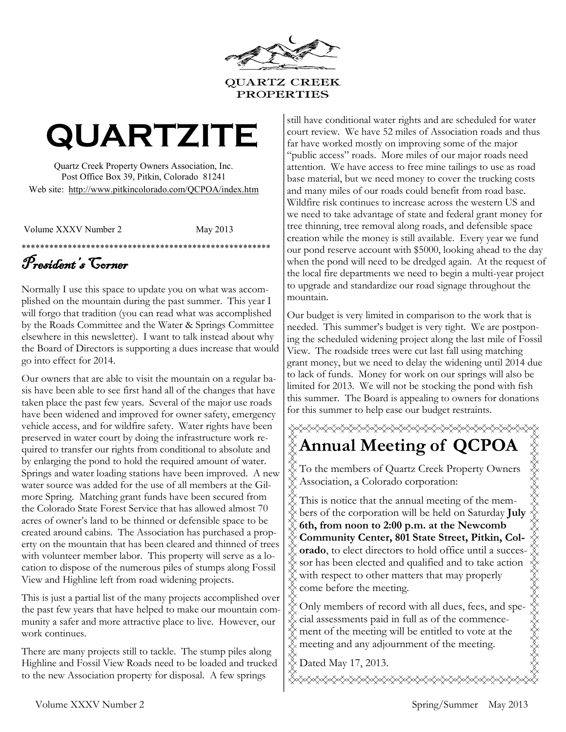

**PROPERTIES** 

# **QUARTZITE**

Quartz Creek Property Owners Association, Inc. Post Office Box 39, Pitkin, Colorado 81241 Web site: http://www.pitkincolorado.com/QCPOA/index.htm

Volume XXXV Number 2 May 2013

#### \*\*\*\*\*\*\*\*\*\*\*\*\*\*\*\*\*\*\*\*\*\*\*\*\*\*\*\*\*\*\*\*\*\*\*\*\*\*\*\*\*\*\*\*\*\*\*\*\*\*\*\*\*\* President's Corner

Normally I use this space to update you on what was accomplished on the mountain during the past summer. This year I will forgo that tradition (you can read what was accomplished by the Roads Committee and the Water & Springs Committee elsewhere in this newsletter). I want to talk instead about why the Board of Directors is supporting a dues increase that would go into effect for 2014.

Our owners that are able to visit the mountain on a regular basis have been able to see first hand all of the changes that have taken place the past few years. Several of the major use roads have been widened and improved for owner safety, emergency vehicle access, and for wildfire safety. Water rights have been preserved in water court by doing the infrastructure work required to transfer our rights from conditional to absolute and by enlarging the pond to hold the required amount of water. Springs and water loading stations have been improved. A new water source was added for the use of all members at the Gilmore Spring. Matching grant funds have been secured from the Colorado State Forest Service that has allowed almost 70 acres of owner's land to be thinned or defensible space to be created around cabins. The Association has purchased a property on the mountain that has been cleared and thinned of trees with volunteer member labor. This property will serve as a location to dispose of the numerous piles of stumps along Fossil View and Highline left from road widening projects.

This is just a partial list of the many projects accomplished over the past few years that have helped to make our mountain community a safer and more attractive place to live. However, our work continues.

There are many projects still to tackle. The stump piles along Highline and Fossil View Roads need to be loaded and trucked to the new Association property for disposal. A few springs

still have conditional water rights and are scheduled for water court review. We have 52 miles of Association roads and thus far have worked mostly on improving some of the major "public access" roads. More miles of our major roads need attention. We have access to free mine tailings to use as road base material, but we need money to cover the trucking costs and many miles of our roads could benefit from road base. Wildfire risk continues to increase across the western US and we need to take advantage of state and federal grant money for tree thinning, tree removal along roads, and defensible space creation while the money is still available. Every year we fund our pond reserve account with \$5000, looking ahead to the day when the pond will need to be dredged again. At the request of the local fire departments we need to begin a multi-year project to upgrade and standardize our road signage throughout the mountain.

Our budget is very limited in comparison to the work that is needed. This summer's budget is very tight. We are postponing the scheduled widening project along the last mile of Fossil View. The roadside trees were cut last fall using matching grant money, but we need to delay the widening until 2014 due to lack of funds. Money for work on our springs will also be limited for 2013. We will not be stocking the pond with fish this summer. The Board is appealing to owners for donations for this summer to help ease our budget restraints.

# **Annual Meeting of QCPOA** XXXXXXXXXXXXXXXXXXXXXXXXXXXXXXXXX

To the members of Quartz Creek Property Owners Association, a Colorado corporation:

This is notice that the annual meeting of the members of the corporation will be held on Saturday **July 6th, from noon to 2:00 p.m. at the Newcomb Community Center, 801 State Street, Pitkin, Colorado**, to elect directors to hold office until a successor has been elected and qualified and to take action with respect to other matters that may properly come before the meeting.

Only members of record with all dues, fees, and special assessments paid in full as of the commencement of the meeting will be entitled to vote at the meeting and any adjournment of the meeting.

 $\&$  Dated May 17, 2013.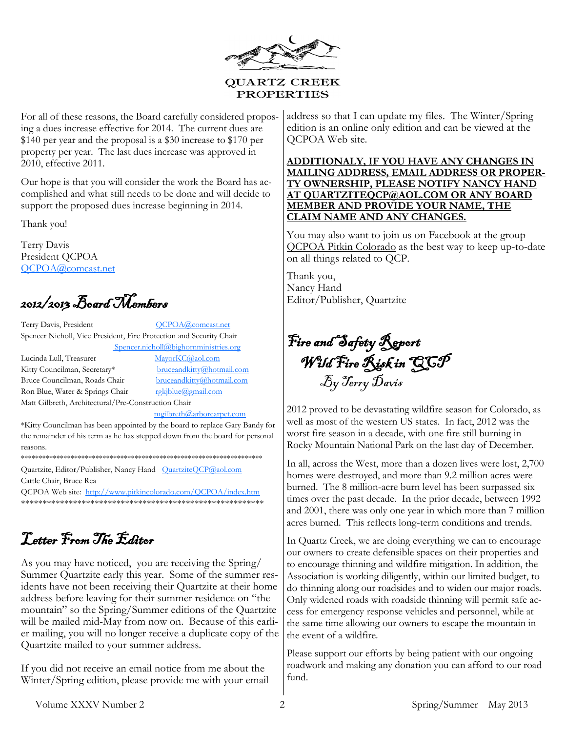

<span id="page-1-0"></span>For all of these reasons, the Board carefully considered proposing a dues increase effective for 2014. The current dues are \$140 per year and the proposal is a \$30 increase to \$170 per property per year. The last dues increase was approved in 2010, effective 2011.

Our hope is that you will consider the work the Board has accomplished and what still needs to be done and will decide to support the proposed dues increase beginning in 2014.

Thank you!

Terry Davis President QCPOA [QCPOA@comcast.net](mailto:QCPOA@comcast.net)

2012/2013 Board Members

Terry Davis, President [QCPOA@comcast.net](#page-1-0) Spencer Nicholl, Vice President, Fire Protection and Security Chair Spencer.nicholl@bighornministries.org

Lucinda Lull, Treasurer [MayorKC@aol.com](#page-1-0) Kitty Councilman, Secretary\* bruceandkitty@hotmail.com Bruce Councilman, Roads Chair [bruceandkitty@hotmail.com](mailto:jcourdin@msn.com) Ron Blue, Water & Springs Chair rgkjblue@gmail.com Matt Gilbreth, Architectural/Pre-Construction Chair

[mgilbreth@arborcarpet.com](mailto:mgilbreth@arborcarpet.com)

\*Kitty Councilman has been appointed by the board to replace Gary Bandy for the remainder of his term as he has stepped down from the board for personal reasons.

\*\*\*\*\*\*\*\*\*\*\*\*\*\*\*\*\*\*\*\*\*\*\*\*\*\*\*\*\*\*\*\*\*\*\*\*\*\*\*\*\*\*\*\*\*\*\*\*\*\*\*\*\*\*\*\*\*\*\*\*\*\*\*\*\*\*\*\*

Quartzite, Editor/Publisher, Nancy Hand [QuartziteQCP@aol.com](#page-1-0) Cattle Chair, Bruce Rea

QCPOA Web site: [http://www.pitkincolorado.com/QCPOA/index.htm](#page-1-0) \*\*\*\*\*\*\*\*\*\*\*\*\*\*\*\*\*\*\*\*\*\*\*\*\*\*\*\*\*\*\*\*\*\*\*\*\*\*\*\*\*\*\*\*\*\*\*\*\*\*\*\*\*\*\*\*

# Letter From The Editor

As you may have noticed, you are receiving the Spring/ Summer Quartzite early this year. Some of the summer residents have not been receiving their Quartzite at their home address before leaving for their summer residence on "the mountain" so the Spring/Summer editions of the Quartzite will be mailed mid-May from now on. Because of this earlier mailing, you will no longer receive a duplicate copy of the Quartzite mailed to your summer address.

If you did not receive an email notice from me about the Winter/Spring edition, please provide me with your email address so that I can update my files. The Winter/Spring edition is an online only edition and can be viewed at the QCPOA Web site.

**ADDITIONALY, IF YOU HAVE ANY CHANGES IN MAILING ADDRESS, EMAIL ADDRESS OR PROPER-TY OWNERSHIP, PLEASE NOTIFY NANCY HAND AT QUARTZITEQCP@AOL.COM OR ANY BOARD MEMBER AND PROVIDE YOUR NAME, THE CLAIM NAME AND ANY CHANGES.** 

You may also want to join us on Facebook at the group QCPOA Pitkin Colorado as the best way to keep up-to-date on all things related to QCP.

Thank you, Nancy Hand Editor/Publisher, Quartzite

Fire and Safety Report Wild Fire Risk in QCP By Terry Davis

2012 proved to be devastating wildfire season for Colorado, as well as most of the western US states. In fact, 2012 was the worst fire season in a decade, with one fire still burning in Rocky Mountain National Park on the last day of December.

In all, across the West, more than a dozen lives were lost, 2,700 homes were destroyed, and more than 9.2 million acres were burned. The 8 million-acre burn level has been surpassed six times over the past decade. In the prior decade, between 1992 and 2001, there was only one year in which more than 7 million acres burned. This reflects long-term conditions and trends.

In Quartz Creek, we are doing everything we can to encourage our owners to create defensible spaces on their properties and to encourage thinning and wildfire mitigation. In addition, the Association is working diligently, within our limited budget, to do thinning along our roadsides and to widen our major roads. Only widened roads with roadside thinning will permit safe access for emergency response vehicles and personnel, while at the same time allowing our owners to escape the mountain in the event of a wildfire.

Please support our efforts by being patient with our ongoing roadwork and making any donation you can afford to our road fund.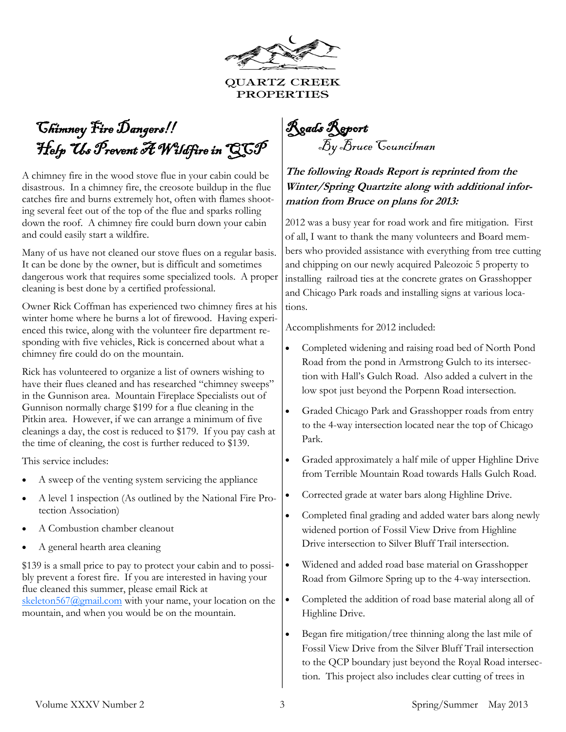

**QUARTZ CREEK PROPERTIES** 

# <span id="page-2-0"></span> Chimney Fire Dangers!! Help Us Prevent A Wildfire in QCP

A chimney fire in the wood stove flue in your cabin could be disastrous. In a chimney fire, the creosote buildup in the flue catches fire and burns extremely hot, often with flames shooting several feet out of the top of the flue and sparks rolling down the roof. A chimney fire could burn down your cabin and could easily start a wildfire.

Many of us have not cleaned our stove flues on a regular basis. It can be done by the owner, but is difficult and sometimes dangerous work that requires some specialized tools. A proper cleaning is best done by a certified professional.

Owner Rick Coffman has experienced two chimney fires at his winter home where he burns a lot of firewood. Having experienced this twice, along with the volunteer fire department responding with five vehicles, Rick is concerned about what a chimney fire could do on the mountain.

Rick has volunteered to organize a list of owners wishing to have their flues cleaned and has researched "chimney sweeps" in the Gunnison area. Mountain Fireplace Specialists out of Gunnison normally charge \$199 for a flue cleaning in the Pitkin area. However, if we can arrange a minimum of five cleanings a day, the cost is reduced to \$179. If you pay cash at the time of cleaning, the cost is further reduced to \$139.

This service includes:

- A sweep of the venting system servicing the appliance
- A level 1 inspection (As outlined by the National Fire Protection Association)
- A Combustion chamber cleanout
- A general hearth area cleaning

\$139 is a small price to pay to protect your cabin and to possibly prevent a forest fire. If you are interested in having your flue cleaned this summer, please email Rick at [skeleton567@gmail.com](#page-2-0) with your name, your location on the mountain, and when you would be on the mountain.

Roads Report By Bruce Councilman

#### **The following Roads Report is reprinted from the Winter/Spring Quartzite along with additional information from Bruce on plans for 2013:**

2012 was a busy year for road work and fire mitigation. First of all, I want to thank the many volunteers and Board members who provided assistance with everything from tree cutting and chipping on our newly acquired Paleozoic 5 property to installing railroad ties at the concrete grates on Grasshopper and Chicago Park roads and installing signs at various locations.

Accomplishments for 2012 included:

- Completed widening and raising road bed of North Pond Road from the pond in Armstrong Gulch to its intersection with Hall's Gulch Road. Also added a culvert in the low spot just beyond the Porpenn Road intersection.
- Graded Chicago Park and Grasshopper roads from entry to the 4-way intersection located near the top of Chicago Park.
- Graded approximately a half mile of upper Highline Drive from Terrible Mountain Road towards Halls Gulch Road.
- Corrected grade at water bars along Highline Drive.
- Completed final grading and added water bars along newly widened portion of Fossil View Drive from Highline Drive intersection to Silver Bluff Trail intersection.
- Widened and added road base material on Grasshopper Road from Gilmore Spring up to the 4-way intersection.
- Completed the addition of road base material along all of Highline Drive.
- Began fire mitigation/tree thinning along the last mile of Fossil View Drive from the Silver Bluff Trail intersection to the QCP boundary just beyond the Royal Road intersection. This project also includes clear cutting of trees in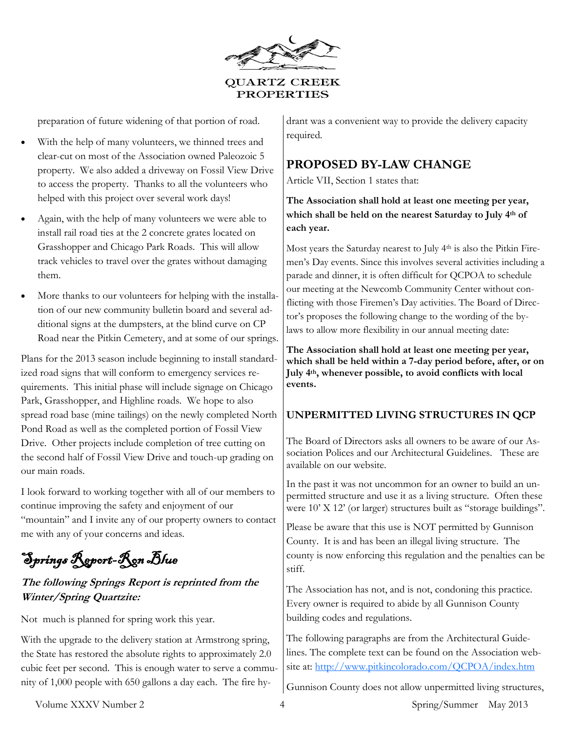

preparation of future widening of that portion of road.

- With the help of many volunteers, we thinned trees and clear-cut on most of the Association owned Paleozoic 5 property. We also added a driveway on Fossil View Drive to access the property. Thanks to all the volunteers who helped with this project over several work days!
- Again, with the help of many volunteers we were able to install rail road ties at the 2 concrete grates located on Grasshopper and Chicago Park Roads. This will allow track vehicles to travel over the grates without damaging them.
- More thanks to our volunteers for helping with the installation of our new community bulletin board and several additional signs at the dumpsters, at the blind curve on CP Road near the Pitkin Cemetery, and at some of our springs.

Plans for the 2013 season include beginning to install standardized road signs that will conform to emergency services requirements. This initial phase will include signage on Chicago Park, Grasshopper, and Highline roads. We hope to also spread road base (mine tailings) on the newly completed North Pond Road as well as the completed portion of Fossil View Drive. Other projects include completion of tree cutting on the second half of Fossil View Drive and touch-up grading on our main roads.

I look forward to working together with all of our members to continue improving the safety and enjoyment of our "mountain" and I invite any of our property owners to contact me with any of your concerns and ideas.

Springs Report-Ron Blue

#### **The following Springs Report is reprinted from the Winter/Spring Quartzite:**

Not much is planned for spring work this year.

With the upgrade to the delivery station at Armstrong spring, the State has restored the absolute rights to approximately 2.0 cubic feet per second. This is enough water to serve a community of 1,000 people with 650 gallons a day each. The fire hydrant was a convenient way to provide the delivery capacity required.

#### **PROPOSED BY-LAW CHANGE**

Article VII, Section 1 states that:

**The Association shall hold at least one meeting per year, which shall be held on the nearest Saturday to July 4th of each year.** 

Most years the Saturday nearest to July 4th is also the Pitkin Firemen's Day events. Since this involves several activities including a parade and dinner, it is often difficult for QCPOA to schedule our meeting at the Newcomb Community Center without conflicting with those Firemen's Day activities. The Board of Director's proposes the following change to the wording of the bylaws to allow more flexibility in our annual meeting date:

**The Association shall hold at least one meeting per year, which shall be held within a 7-day period before, after, or on July 4th, whenever possible, to avoid conflicts with local events.**

#### **UNPERMITTED LIVING STRUCTURES IN QCP**

The Board of Directors asks all owners to be aware of our Association Polices and our Architectural Guidelines. These are available on our website.

In the past it was not uncommon for an owner to build an unpermitted structure and use it as a living structure. Often these were 10' X 12' (or larger) structures built as "storage buildings".

Please be aware that this use is NOT permitted by Gunnison County. It is and has been an illegal living structure. The county is now enforcing this regulation and the penalties can be stiff.

The Association has not, and is not, condoning this practice. Every owner is required to abide by all Gunnison County building codes and regulations.

The following paragraphs are from the Architectural Guidelines. The complete text can be found on the Association website at: [http://www.pitkincolorado.com/QCPOA/index.htm](#page-4-0)

Gunnison County does not allow unpermitted living structures,

Volume XXXV Number 2  $\frac{4}{4}$  Spring/Summer May 2013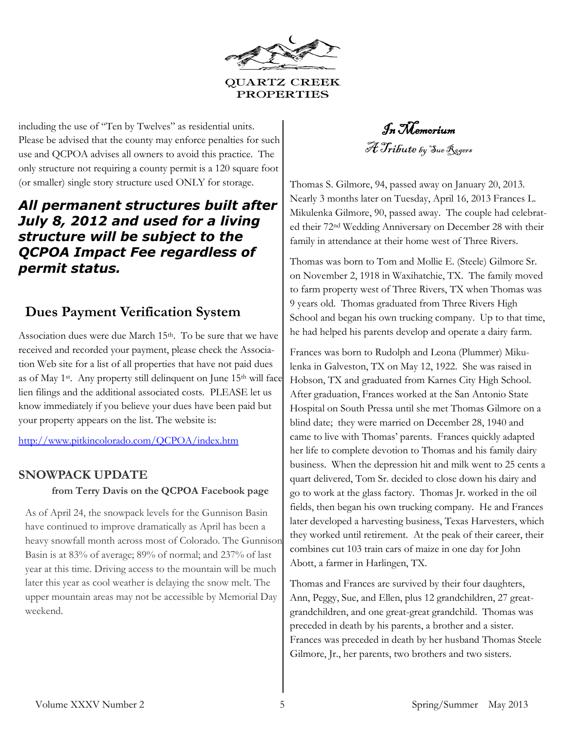

<span id="page-4-0"></span>including the use of "Ten by Twelves" as residential units. Please be advised that the county may enforce penalties for such use and QCPOA advises all owners to avoid this practice. The only structure not requiring a county permit is a 120 square foot (or smaller) single story structure used ONLY for storage.

#### *All permanent structures built after July 8, 2012 and used for a living structure will be subject to the QCPOA Impact Fee regardless of permit status.*

#### **Dues Payment Verification System**

Association dues were due March 15<sup>th</sup>. To be sure that we have received and recorded your payment, please check the Association Web site for a list of all properties that have not paid dues as of May 1<sup>st</sup>. Any property still delinquent on June  $15<sup>th</sup>$  will face lien filings and the additional associated costs. PLEASE let us know immediately if you believe your dues have been paid but your property appears on the list. The website is:

http://www.pitkincolorado.com/QCPOA/index.htm

## **SNOWPACK UPDATE from Terry Davis on the QCPOA Facebook page**

As of April 24, the snowpack levels for the Gunnison Basin have continued to improve dramatically as April has been a heavy snowfall month across most of Colorado. The Gunnison Basin is at 83% of average; 89% of normal; and 237% of last year at this time. Driving access to the mountain will be much later this year as cool weather is delaying the snow melt. The upper mountain areas may not be accessible by Memorial Day weekend.

In Memorium A Tribute by Sue Rogers

Thomas S. Gilmore, 94, passed away on January 20, 2013. Nearly 3 months later on Tuesday, April 16, 2013 Frances L. Mikulenka Gilmore, 90, passed away. The couple had celebrated their 72nd Wedding Anniversary on December 28 with their family in attendance at their home west of Three Rivers.

Thomas was born to Tom and Mollie E. (Steele) Gilmore Sr. on November 2, 1918 in Waxihatchie, TX. The family moved to farm property west of Three Rivers, TX when Thomas was 9 years old. Thomas graduated from Three Rivers High School and began his own trucking company. Up to that time, he had helped his parents develop and operate a dairy farm.

Frances was born to Rudolph and Leona (Plummer) Mikulenka in Galveston, TX on May 12, 1922. She was raised in Hobson, TX and graduated from Karnes City High School. After graduation, Frances worked at the San Antonio State Hospital on South Pressa until she met Thomas Gilmore on a blind date; they were married on December 28, 1940 and came to live with Thomas' parents. Frances quickly adapted her life to complete devotion to Thomas and his family dairy business. When the depression hit and milk went to 25 cents a quart delivered, Tom Sr. decided to close down his dairy and go to work at the glass factory. Thomas Jr. worked in the oil fields, then began his own trucking company. He and Frances later developed a harvesting business, Texas Harvesters, which they worked until retirement. At the peak of their career, their combines cut 103 train cars of maize in one day for John Abott, a farmer in Harlingen, TX.

Thomas and Frances are survived by their four daughters, Ann, Peggy, Sue, and Ellen, plus 12 grandchildren, 27 greatgrandchildren, and one great-great grandchild. Thomas was preceded in death by his parents, a brother and a sister. Frances was preceded in death by her husband Thomas Steele Gilmore, Jr., her parents, two brothers and two sisters.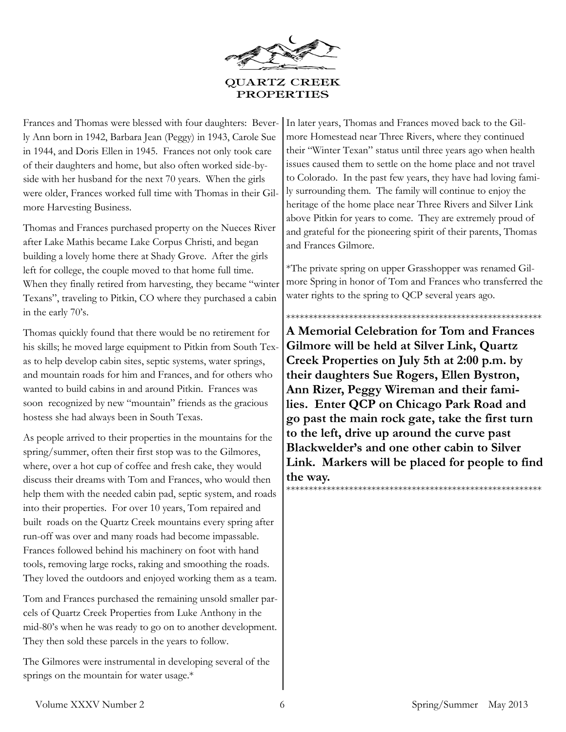

Frances and Thomas were blessed with four daughters: Beverly Ann born in 1942, Barbara Jean (Peggy) in 1943, Carole Sue in 1944, and Doris Ellen in 1945. Frances not only took care of their daughters and home, but also often worked side-byside with her husband for the next 70 years. When the girls were older, Frances worked full time with Thomas in their Gilmore Harvesting Business.

Thomas and Frances purchased property on the Nueces River after Lake Mathis became Lake Corpus Christi, and began building a lovely home there at Shady Grove. After the girls left for college, the couple moved to that home full time. When they finally retired from harvesting, they became "winter Texans", traveling to Pitkin, CO where they purchased a cabin in the early 70's.

Thomas quickly found that there would be no retirement for his skills; he moved large equipment to Pitkin from South Texas to help develop cabin sites, septic systems, water springs, and mountain roads for him and Frances, and for others who wanted to build cabins in and around Pitkin. Frances was soon recognized by new "mountain" friends as the gracious hostess she had always been in South Texas.

As people arrived to their properties in the mountains for the spring/summer, often their first stop was to the Gilmores, where, over a hot cup of coffee and fresh cake, they would discuss their dreams with Tom and Frances, who would then help them with the needed cabin pad, septic system, and roads into their properties. For over 10 years, Tom repaired and built roads on the Quartz Creek mountains every spring after run-off was over and many roads had become impassable. Frances followed behind his machinery on foot with hand tools, removing large rocks, raking and smoothing the roads. They loved the outdoors and enjoyed working them as a team.

Tom and Frances purchased the remaining unsold smaller parcels of Quartz Creek Properties from Luke Anthony in the mid-80's when he was ready to go on to another development. They then sold these parcels in the years to follow.

The Gilmores were instrumental in developing several of the springs on the mountain for water usage.\*

In later years, Thomas and Frances moved back to the Gilmore Homestead near Three Rivers, where they continued their "Winter Texan" status until three years ago when health issues caused them to settle on the home place and not travel to Colorado. In the past few years, they have had loving family surrounding them. The family will continue to enjoy the heritage of the home place near Three Rivers and Silver Link above Pitkin for years to come. They are extremely proud of and grateful for the pioneering spirit of their parents, Thomas and Frances Gilmore.

\*The private spring on upper Grasshopper was renamed Gilmore Spring in honor of Tom and Frances who transferred the water rights to the spring to QCP several years ago.

\*\*\*\*\*\*\*\*\*\*\*\*\*\*\*\*\*\*\*\*\*\*\*\*\*\*\*\*\*\*\*\*\*\*\*\*\*\*\*\*\*\*\*\*\*\*\*\*\*\*\*\*\*\*\*\*\* **A Memorial Celebration for Tom and Frances Gilmore will be held at Silver Link, Quartz Creek Properties on July 5th at 2:00 p.m. by their daughters Sue Rogers, Ellen Bystron, Ann Rizer, Peggy Wireman and their families. Enter QCP on Chicago Park Road and go past the main rock gate, take the first turn to the left, drive up around the curve past Blackwelder's and one other cabin to Silver Link. Markers will be placed for people to find the way.** \*\*\*\*\*\*\*\*\*\*\*\*\*\*\*\*\*\*\*\*\*\*\*\*\*\*\*\*\*\*\*\*\*\*\*\*\*\*\*\*\*\*\*\*\*\*\*\*\*\*\*\*\*\*\*\*\*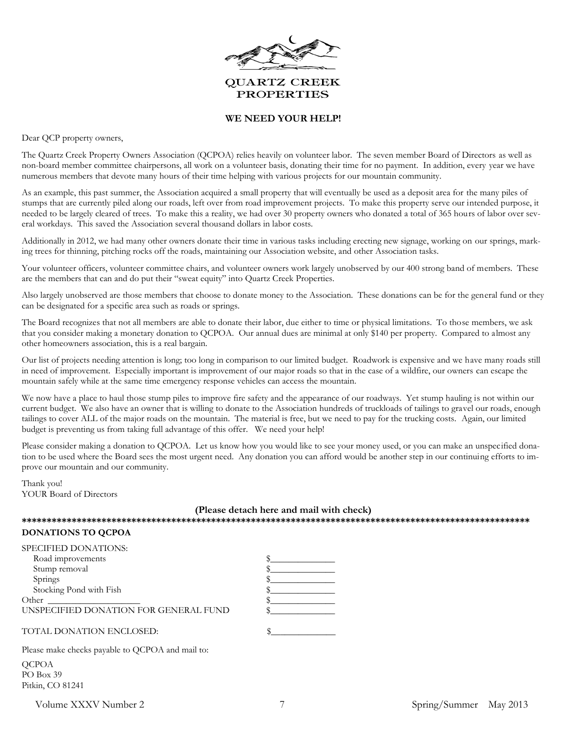

#### **WE NEED YOUR HELP!**

Dear QCP property owners,

The Quartz Creek Property Owners Association (QCPOA) relies heavily on volunteer labor. The seven member Board of Directors as well as non-board member committee chairpersons, all work on a volunteer basis, donating their time for no payment. In addition, every year we have numerous members that devote many hours of their time helping with various projects for our mountain community.

As an example, this past summer, the Association acquired a small property that will eventually be used as a deposit area for the many piles of stumps that are currently piled along our roads, left over from road improvement projects. To make this property serve our intended purpose, it needed to be largely cleared of trees. To make this a reality, we had over 30 property owners who donated a total of 365 hours of labor over several workdays. This saved the Association several thousand dollars in labor costs.

Additionally in 2012, we had many other owners donate their time in various tasks including erecting new signage, working on our springs, marking trees for thinning, pitching rocks off the roads, maintaining our Association website, and other Association tasks.

Your volunteer officers, volunteer committee chairs, and volunteer owners work largely unobserved by our 400 strong band of members. These are the members that can and do put their "sweat equity" into Quartz Creek Properties.

Also largely unobserved are those members that choose to donate money to the Association. These donations can be for the general fund or they can be designated for a specific area such as roads or springs.

The Board recognizes that not all members are able to donate their labor, due either to time or physical limitations. To those members, we ask that you consider making a monetary donation to QCPOA. Our annual dues are minimal at only \$140 per property. Compared to almost any other homeowners association, this is a real bargain.

Our list of projects needing attention is long; too long in comparison to our limited budget. Roadwork is expensive and we have many roads still in need of improvement. Especially important is improvement of our major roads so that in the case of a wildfire, our owners can escape the mountain safely while at the same time emergency response vehicles can access the mountain.

We now have a place to haul those stump piles to improve fire safety and the appearance of our roadways. Yet stump hauling is not within our current budget. We also have an owner that is willing to donate to the Association hundreds of truckloads of tailings to gravel our roads, enough tailings to cover ALL of the major roads on the mountain. The material is free, but we need to pay for the trucking costs. Again, our limited budget is preventing us from taking full advantage of this offer. We need your help!

Please consider making a donation to QCPOA. Let us know how you would like to see your money used, or you can make an unspecified donation to be used where the Board sees the most urgent need. Any donation you can afford would be another step in our continuing efforts to improve our mountain and our community.

Thank you! YOUR Board of Directors

#### **(Please detach here and mail with check)**

**\*\*\*\*\*\*\*\*\*\*\*\*\*\*\*\*\*\*\*\*\*\*\*\*\*\*\*\*\*\*\*\*\*\*\*\*\*\*\*\*\*\*\*\*\*\*\*\*\*\*\*\*\*\*\*\*\*\*\*\*\*\*\*\*\*\*\*\*\*\*\*\*\*\*\*\*\*\*\*\*\*\*\*\*\*\*\*\*\*\*\*\*\*\*\*\*\*\*\*\*\*\* DONATIONS TO QCPOA**

| SPECIFIED DONATIONS:                                                                                                                                                                                                                                                                                                                               |  |
|----------------------------------------------------------------------------------------------------------------------------------------------------------------------------------------------------------------------------------------------------------------------------------------------------------------------------------------------------|--|
| Road improvements                                                                                                                                                                                                                                                                                                                                  |  |
| Stump removal                                                                                                                                                                                                                                                                                                                                      |  |
| Springs                                                                                                                                                                                                                                                                                                                                            |  |
| Stocking Pond with Fish                                                                                                                                                                                                                                                                                                                            |  |
| Other                                                                                                                                                                                                                                                                                                                                              |  |
| UNSPECIFIED DONATION FOR GENERAL FUND                                                                                                                                                                                                                                                                                                              |  |
|                                                                                                                                                                                                                                                                                                                                                    |  |
| TOTAL DONATION ENCLOSED:                                                                                                                                                                                                                                                                                                                           |  |
|                                                                                                                                                                                                                                                                                                                                                    |  |
| $\mathbf{1}$ $\mathbf{1}$ $\mathbf{1}$ $\mathbf{1}$ $\mathbf{1}$ $\mathbf{1}$ $\mathbf{1}$ $\mathbf{1}$ $\mathbf{1}$ $\mathbf{1}$ $\mathbf{1}$ $\mathbf{1}$ $\mathbf{1}$ $\mathbf{1}$ $\mathbf{1}$ $\mathbf{1}$ $\mathbf{1}$ $\mathbf{1}$ $\mathbf{1}$ $\mathbf{1}$ $\mathbf{1}$ $\mathbf{1}$ $\mathbf{1}$ $\mathbf{1}$ $\mathbf{$<br>$\mathbf{L}$ |  |

Please make checks payable to QCPOA and mail to:

QCPOA PO Box 39 Pitkin, CO 81241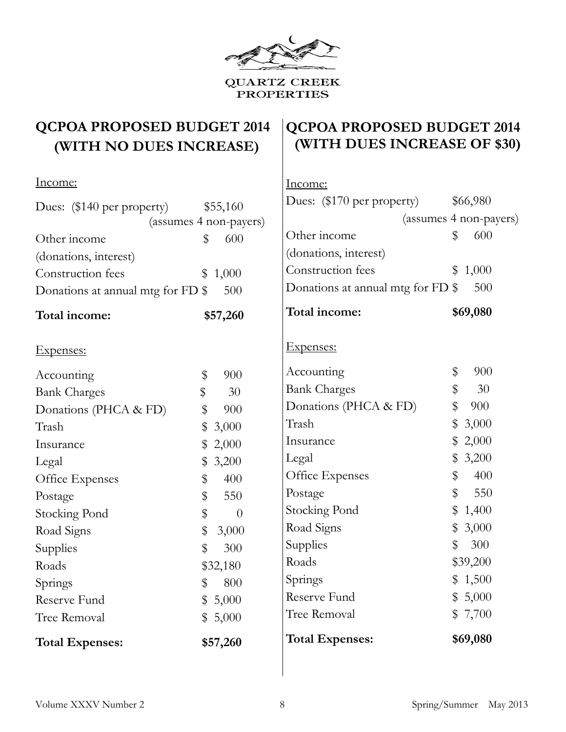

# **QCPOA PROPOSED BUDGET 2014 (WITH NO DUES INCREASE)**

# **QCPOA PROPOSED BUDGET 2014 (WITH DUES INCREASE OF \$30)**

| <u>Income:</u>                    |                | <u>Income:</u>                    |                        |
|-----------------------------------|----------------|-----------------------------------|------------------------|
| Dues: (\$140 per property)        | \$55,160       | Dues: (\$170 per property)        | \$66,980               |
| (assumes 4 non-payers)            |                |                                   | (assumes 4 non-payers) |
| Other income                      | 600<br>\$      | Other income                      | 600<br>\$              |
| (donations, interest)             |                | (donations, interest)             |                        |
| Construction fees                 | 1,000<br>\$    | Construction fees                 | 1,000<br>\$            |
| Donations at annual mtg for FD \$ | 500            | Donations at annual mtg for FD \$ | 500                    |
| Total income:                     | \$57,260       | Total income:                     | \$69,080               |
| Expenses:                         |                | Expenses:                         |                        |
| Accounting                        | \$<br>900      | Accounting                        | \$<br>900              |
| <b>Bank Charges</b>               | \$<br>30       | <b>Bank Charges</b>               | \$<br>30               |
| Donations (PHCA & FD)             | 900<br>\$      | Donations (PHCA & FD)             | \$<br>900              |
| Trash                             | 3,000<br>\$    | Trash                             | \$<br>3,000            |
| Insurance                         | 2,000<br>\$    | Insurance                         | 2,000<br>\$            |
| Legal                             | 3,200<br>\$    | Legal                             | 3,200<br>\$            |
| Office Expenses                   | 400<br>\$      | Office Expenses                   | 400<br>\$              |
| Postage                           | \$<br>550      | Postage                           | 550<br>\$              |
| <b>Stocking Pond</b>              | \$<br>$\theta$ | <b>Stocking Pond</b>              | \$<br>1,400            |
| Road Signs                        | \$<br>3,000    | Road Signs                        | 3,000<br>\$            |
| Supplies                          | \$<br>300      | Supplies                          | \$<br>300              |
| Roads                             | \$32,180       | Roads                             | \$39,200               |
| Springs                           | \$<br>800      | Springs                           | 1,500<br>\$            |
| Reserve Fund                      | 5,000<br>\$    | Reserve Fund                      | 5,000<br>\$            |
| Tree Removal                      | 5,000<br>\$    | Tree Removal                      | 7,700<br>\$            |
| <b>Total Expenses:</b>            | \$57,260       | <b>Total Expenses:</b>            | \$69,080               |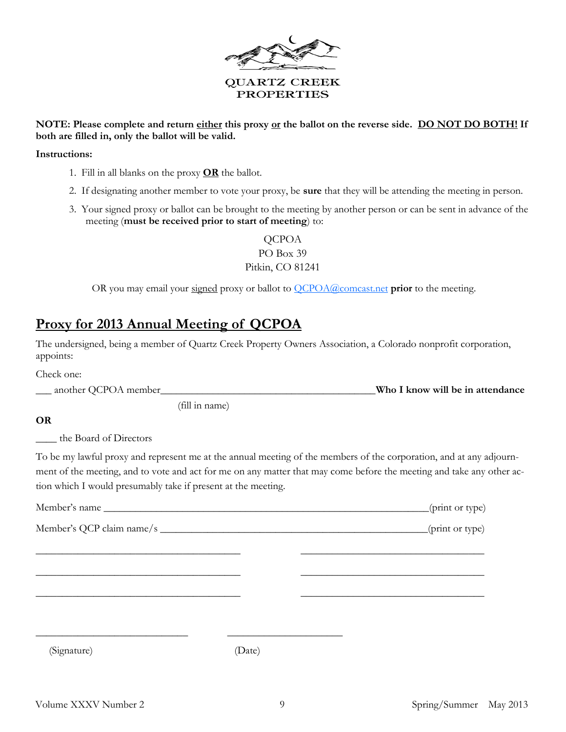

#### **NOTE: Please complete and return either this proxy or the ballot on the reverse side. DO NOT DO BOTH! If both are filled in, only the ballot will be valid.**

#### **Instructions:**

- 1. Fill in all blanks on the proxy **OR** the ballot.
- 2. If designating another member to vote your proxy, be **sure** that they will be attending the meeting in person.
- 3. Your signed proxy or ballot can be brought to the meeting by another person or can be sent in advance of the meeting (**must be received prior to start of meeting**) to:

**QCPOA** PO Box 39 Pitkin, CO 81241

OR you may email your signed proxy or ballot to [QCPOA@comcast.net](mailto:QCPOA@comcast.net) **prior** to the meeting.

## **Proxy for 2013 Annual Meeting of QCPOA**

(fill in name)

The undersigned, being a member of Quartz Creek Property Owners Association, a Colorado nonprofit corporation, appoints:

Check one: \_\_\_ another QCPOA member\_\_\_\_\_\_\_\_\_\_\_\_\_\_\_\_\_\_\_\_\_\_\_\_\_\_\_\_\_\_\_\_\_\_\_\_\_\_\_\_\_**Who I know will be in attendance**

**OR**

the Board of Directors

To be my lawful proxy and represent me at the annual meeting of the members of the corporation, and at any adjournment of the meeting, and to vote and act for me on any matter that may come before the meeting and take any other action which I would presumably take if present at the meeting.

|             |        | (print or type) |
|-------------|--------|-----------------|
|             |        | (print or type) |
|             |        |                 |
|             |        |                 |
|             |        |                 |
|             |        |                 |
| (Signature) | (Date) |                 |